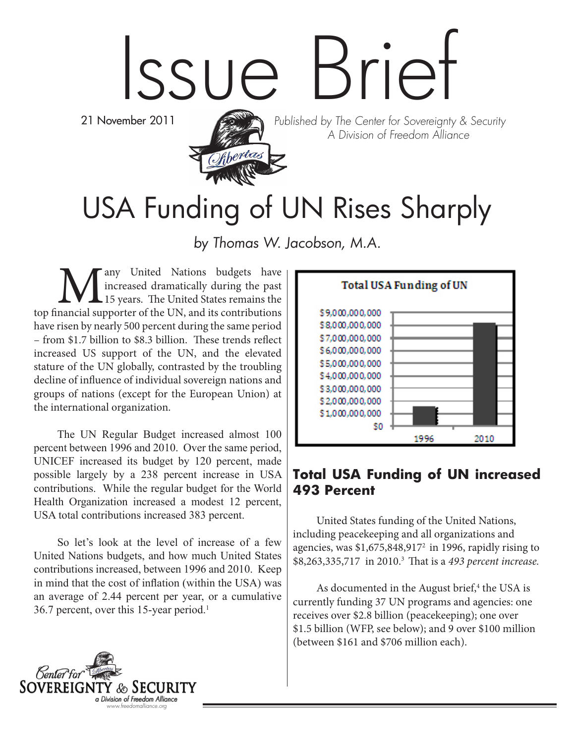# Issue Brief

21 November 2011



Published by The Center for Sovereignty & Security A Division of Freedom Alliance

## USA Funding of UN Rises Sharply

by Thomas W. Jacobson, M.A.

Many United Nations budgets have increased dramatically during the past 15 years. The United States remains the top financial supporter of the UN, and its contributions increased dramatically during the past 15 years. The United States remains the have risen by nearly 500 percent during the same period – from \$1.7 billion to \$8.3 billion. These trends reflect increased US support of the UN, and the elevated stature of the UN globally, contrasted by the troubling decline of influence of individual sovereign nations and groups of nations (except for the European Union) at the international organization.

The UN Regular Budget increased almost 100 percent between 1996 and 2010. Over the same period, UNICEF increased its budget by 120 percent, made possible largely by a 238 percent increase in USA contributions. While the regular budget for the World Health Organization increased a modest 12 percent, USA total contributions increased 383 percent.

So let's look at the level of increase of a few United Nations budgets, and how much United States contributions increased, between 1996 and 2010. Keep in mind that the cost of inflation (within the USA) was an average of 2.44 percent per year, or a cumulative 36.7 percent, over this 15-year period.<sup>1</sup>



#### **Total USA Funding of UN increased 493 Percent**

United States funding of the United Nations, including peacekeeping and all organizations and agencies, was  $$1,675,848,917^2$  in 1996, rapidly rising to \$8,263,335,717 in 2010.3 That is a *493 percent increase.* 

As documented in the August brief,<sup>4</sup> the USA is currently funding 37 UN programs and agencies: one receives over \$2.8 billion (peacekeeping); one over \$1.5 billion (WFP, see below); and 9 over \$100 million (between \$161 and \$706 million each).

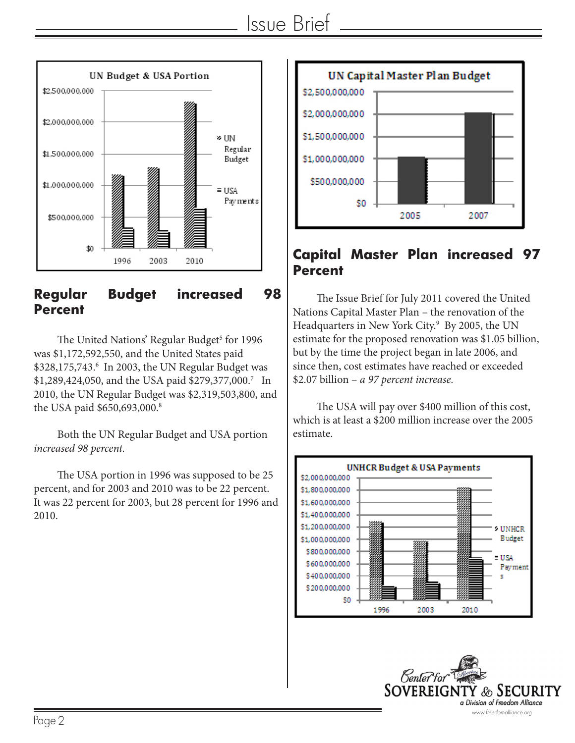

#### **Regular Budget increased 98 Percent**

The United Nations' Regular Budget<sup>5</sup> for 1996 was \$1,172,592,550, and the United States paid \$328,175,743.<sup>6</sup> In 2003, the UN Regular Budget was \$1,289,424,050, and the USA paid \$279,377,000.<sup>7</sup> In 2010, the UN Regular Budget was \$2,319,503,800, and the USA paid \$650,693,000.<sup>8</sup>

Both the UN Regular Budget and USA portion *increased 98 percent.* 

The USA portion in 1996 was supposed to be 25 percent, and for 2003 and 2010 was to be 22 percent. It was 22 percent for 2003, but 28 percent for 1996 and 2010.



#### **Capital Master Plan increased 97 Percent**

The Issue Brief for July 2011 covered the United Nations Capital Master Plan – the renovation of the Headquarters in New York City.9 By 2005, the UN estimate for the proposed renovation was \$1.05 billion, but by the time the project began in late 2006, and since then, cost estimates have reached or exceeded \$2.07 billion – *a 97 percent increase.* 

The USA will pay over \$400 million of this cost, which is at least a \$200 million increase over the 2005 estimate.



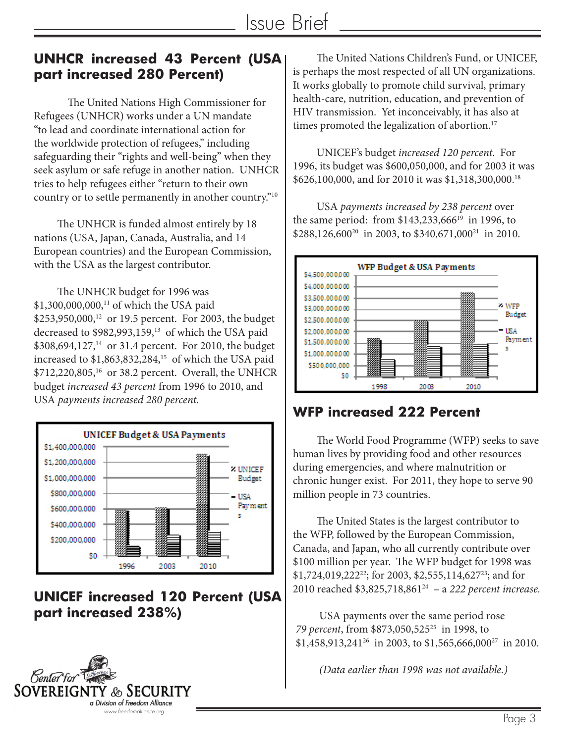#### **UNHCR increased 43 Percent (USA part increased 280 Percent)**

The United Nations High Commissioner for Refugees (UNHCR) works under a UN mandate "to lead and coordinate international action for the worldwide protection of refugees," including safeguarding their "rights and well-being" when they seek asylum or safe refuge in another nation. UNHCR tries to help refugees either "return to their own country or to settle permanently in another country."10

The UNHCR is funded almost entirely by 18 nations (USA, Japan, Canada, Australia, and 14 European countries) and the European Commission, with the USA as the largest contributor.

The UNHCR budget for 1996 was \$1,300,000,000,11 of which the USA paid \$253,950,000,<sup>12</sup> or 19.5 percent. For 2003, the budget decreased to \$982,993,159,<sup>13</sup> of which the USA paid \$308,694,127,<sup>14</sup> or 31.4 percent. For 2010, the budget increased to  $$1,863,832,284$ ,<sup>15</sup> of which the USA paid \$712,220,805,16 or 38.2 percent. Overall, the UNHCR budget *increased 43 percent* from 1996 to 2010, and USA *payments increased 280 percent.* 



#### **UNICEF increased 120 Percent (USA part increased 238%)**



The United Nations Children's Fund, or UNICEF, is perhaps the most respected of all UN organizations. It works globally to promote child survival, primary health-care, nutrition, education, and prevention of HIV transmission. Yet inconceivably, it has also at times promoted the legalization of abortion.<sup>17</sup>

UNICEF's budget *increased 120 percent*. For 1996, its budget was \$600,050,000, and for 2003 it was \$626,100,000, and for 2010 it was \$1,318,300,000.18

USA *payments increased by 238 percent* over the same period: from  $$143,233,666^{19}$  in 1996, to \$288,126,600<sup>20</sup> in 2003, to \$340,671,000<sup>21</sup> in 2010.



#### **WFP increased 222 Percent**

The World Food Programme (WFP) seeks to save human lives by providing food and other resources during emergencies, and where malnutrition or chronic hunger exist. For 2011, they hope to serve 90 million people in 73 countries.

The United States is the largest contributor to the WFP, followed by the European Commission, Canada, and Japan, who all currently contribute over \$100 million per year. The WFP budget for 1998 was \$1,724,019,22222; for 2003, \$2,555,114,62723; and for 2010 reached \$3,825,718,86124 – a *222 percent increase.* 

USA payments over the same period rose 79 percent, from \$873,050,525<sup>25</sup> in 1998, to  $$1,458,913,241^{26}$  in 2003, to  $$1,565,666,000^{27}$  in 2010.

*(Data earlier than 1998 was not available.)*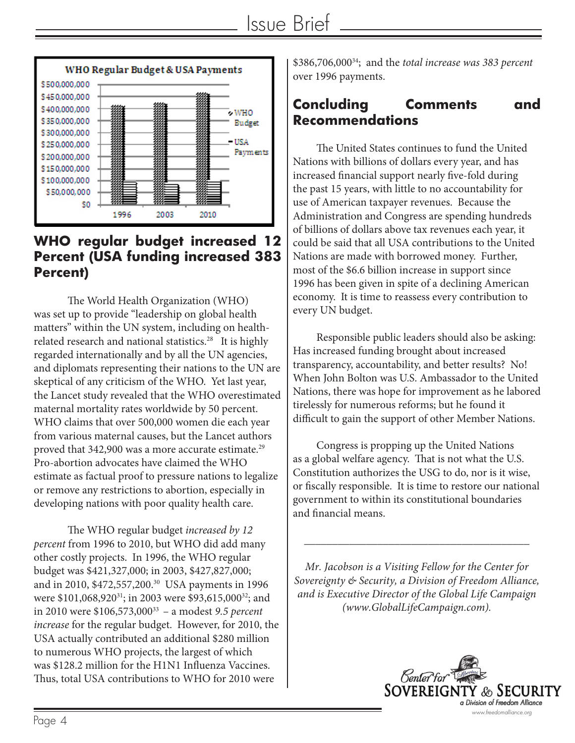

#### **WHO regular budget increased 12 Percent (USA funding increased 383 Percent)**

The World Health Organization (WHO) was set up to provide "leadership on global health matters" within the UN system, including on healthrelated research and national statistics.28 It is highly regarded internationally and by all the UN agencies, and diplomats representing their nations to the UN are skeptical of any criticism of the WHO. Yet last year, the Lancet study revealed that the WHO overestimated maternal mortality rates worldwide by 50 percent. WHO claims that over 500,000 women die each year from various maternal causes, but the Lancet authors proved that 342,900 was a more accurate estimate.<sup>29</sup> Pro-abortion advocates have claimed the WHO estimate as factual proof to pressure nations to legalize or remove any restrictions to abortion, especially in developing nations with poor quality health care.

The WHO regular budget *increased by 12 percent* from 1996 to 2010, but WHO did add many other costly projects. In 1996, the WHO regular budget was \$421,327,000; in 2003, \$427,827,000; and in 2010, \$472,557,200.30 USA payments in 1996 were \$101,068,920<sup>31</sup>; in 2003 were \$93,615,000<sup>32</sup>; and in 2010 were \$106,573,00033 – a modest *9.5 percent increase* for the regular budget. However, for 2010, the USA actually contributed an additional \$280 million to numerous WHO projects, the largest of which was \$128.2 million for the H1N1 Influenza Vaccines. Thus, total USA contributions to WHO for 2010 were

\$386,706,00034; and the *total increase was 383 percent* over 1996 payments.

#### **Concluding Comments and Recommendations**

The United States continues to fund the United Nations with billions of dollars every year, and has increased financial support nearly five-fold during the past 15 years, with little to no accountability for use of American taxpayer revenues. Because the Administration and Congress are spending hundreds of billions of dollars above tax revenues each year, it could be said that all USA contributions to the United Nations are made with borrowed money. Further, most of the \$6.6 billion increase in support since 1996 has been given in spite of a declining American economy. It is time to reassess every contribution to every UN budget.

Responsible public leaders should also be asking: Has increased funding brought about increased transparency, accountability, and better results? No! When John Bolton was U.S. Ambassador to the United Nations, there was hope for improvement as he labored tirelessly for numerous reforms; but he found it difficult to gain the support of other Member Nations.

Congress is propping up the United Nations as a global welfare agency. That is not what the U.S. Constitution authorizes the USG to do, nor is it wise, or fiscally responsible. It is time to restore our national government to within its constitutional boundaries and financial means.

*Mr. Jacobson is a Visiting Fellow for the Center for Sovereignty & Security, a Division of Freedom Alliance, and is Executive Director of the Global Life Campaign (www.GlobalLifeCampaign.com).*

\_\_\_\_\_\_\_\_\_\_\_\_\_\_\_\_\_\_\_\_\_\_\_\_\_\_\_\_\_\_\_\_\_\_\_\_\_\_\_\_

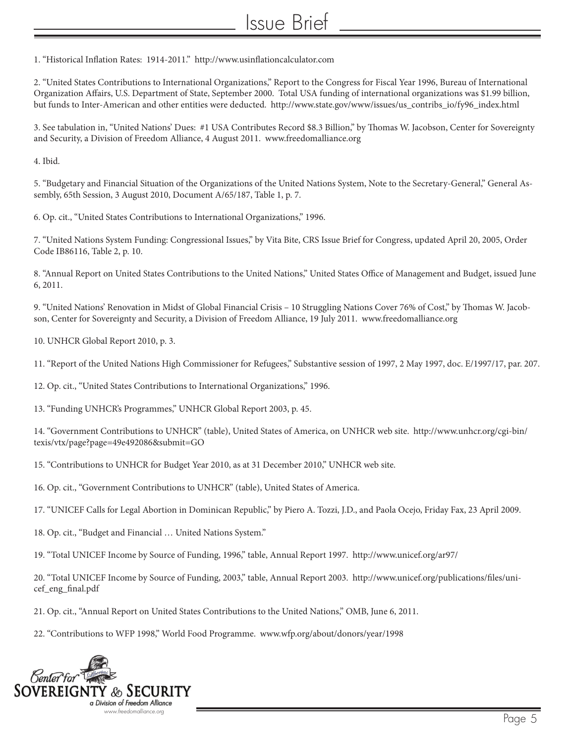### Issue Brief

1. "Historical Inflation Rates: 1914-2011." http://www.usinflationcalculator.com

2. "United States Contributions to International Organizations," Report to the Congress for Fiscal Year 1996, Bureau of International Organization Affairs, U.S. Department of State, September 2000. Total USA funding of international organizations was \$1.99 billion, but funds to Inter-American and other entities were deducted. http://www.state.gov/www/issues/us\_contribs\_io/fy96\_index.html

3. See tabulation in, "United Nations' Dues: #1 USA Contributes Record \$8.3 Billion," by Thomas W. Jacobson, Center for Sovereignty and Security, a Division of Freedom Alliance, 4 August 2011. www.freedomalliance.org

4. Ibid.

5. "Budgetary and Financial Situation of the Organizations of the United Nations System, Note to the Secretary-General," General Assembly, 65th Session, 3 August 2010, Document A/65/187, Table 1, p. 7.

6. Op. cit., "United States Contributions to International Organizations," 1996.

7. "United Nations System Funding: Congressional Issues," by Vita Bite, CRS Issue Brief for Congress, updated April 20, 2005, Order Code IB86116, Table 2, p. 10.

8. "Annual Report on United States Contributions to the United Nations," United States Office of Management and Budget, issued June 6, 2011.

9. "United Nations' Renovation in Midst of Global Financial Crisis – 10 Struggling Nations Cover 76% of Cost," by Thomas W. Jacobson, Center for Sovereignty and Security, a Division of Freedom Alliance, 19 July 2011. www.freedomalliance.org

10. UNHCR Global Report 2010, p. 3.

11. "Report of the United Nations High Commissioner for Refugees," Substantive session of 1997, 2 May 1997, doc. E/1997/17, par. 207.

12. Op. cit., "United States Contributions to International Organizations," 1996.

13. "Funding UNHCR's Programmes," UNHCR Global Report 2003, p. 45.

14. "Government Contributions to UNHCR" (table), United States of America, on UNHCR web site. http://www.unhcr.org/cgi-bin/ texis/vtx/page?page=49e492086&submit=GO

15. "Contributions to UNHCR for Budget Year 2010, as at 31 December 2010," UNHCR web site.

16. Op. cit., "Government Contributions to UNHCR" (table), United States of America.

17. "UNICEF Calls for Legal Abortion in Dominican Republic," by Piero A. Tozzi, J.D., and Paola Ocejo, Friday Fax, 23 April 2009.

18. Op. cit., "Budget and Financial … United Nations System."

19. "Total UNICEF Income by Source of Funding, 1996," table, Annual Report 1997. http://www.unicef.org/ar97/

20. "Total UNICEF Income by Source of Funding, 2003," table, Annual Report 2003. http://www.unicef.org/publications/files/unicef\_eng\_final.pdf

21. Op. cit., "Annual Report on United States Contributions to the United Nations," OMB, June 6, 2011.

22. "Contributions to WFP 1998," World Food Programme. www.wfp.org/about/donors/year/1998